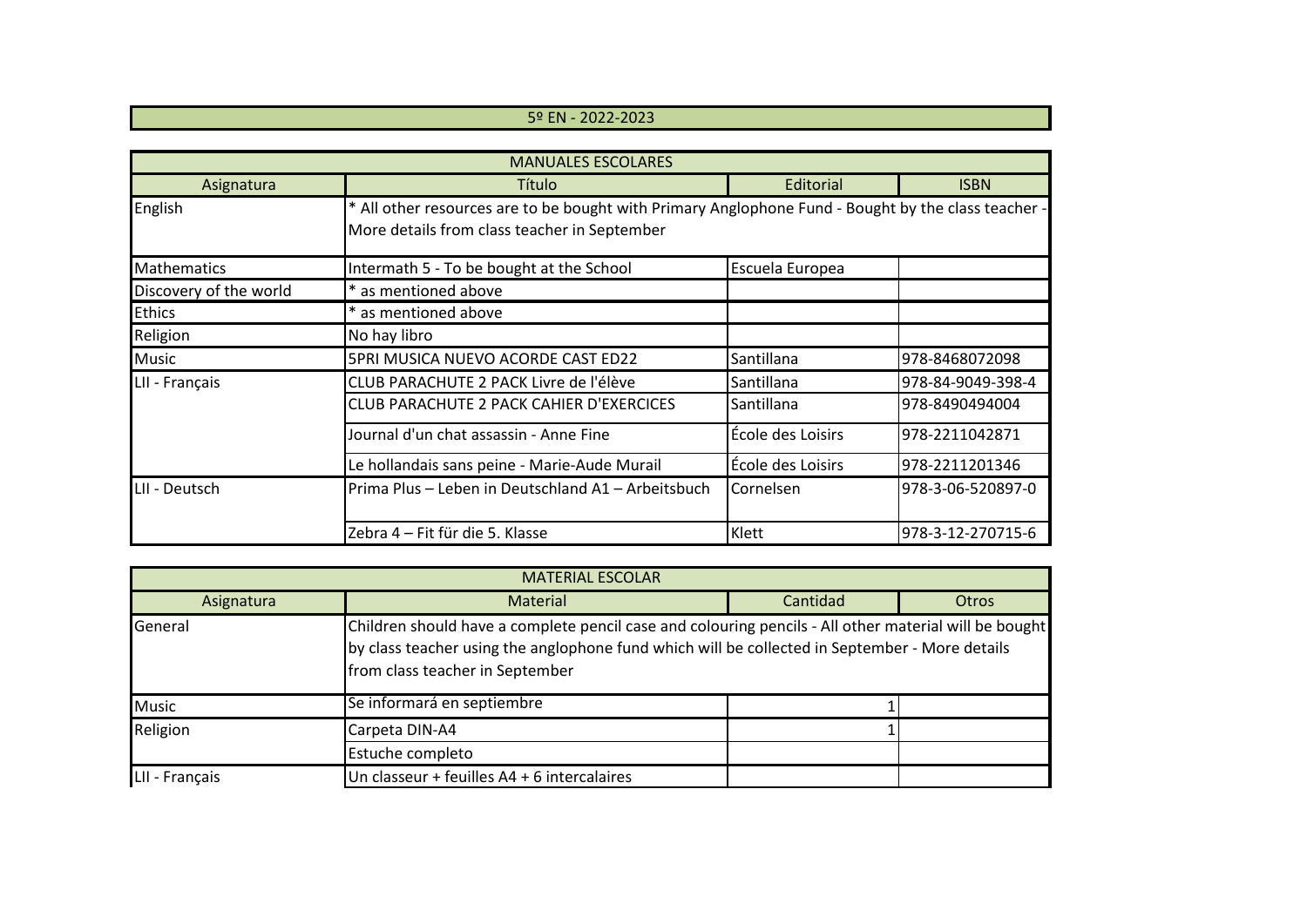## 5º EN - 2022-2023

| <b>MANUALES ESCOLARES</b> |                                                                                                                                                     |                   |                   |  |  |
|---------------------------|-----------------------------------------------------------------------------------------------------------------------------------------------------|-------------------|-------------------|--|--|
| Asignatura                | Título                                                                                                                                              | Editorial         | <b>ISBN</b>       |  |  |
| English                   | * All other resources are to be bought with Primary Anglophone Fund - Bought by the class teacher -<br>More details from class teacher in September |                   |                   |  |  |
| <b>Mathematics</b>        | Intermath 5 - To be bought at the School                                                                                                            | Escuela Europea   |                   |  |  |
| Discovery of the world    | * as mentioned above                                                                                                                                |                   |                   |  |  |
| <b>Ethics</b>             | * as mentioned above                                                                                                                                |                   |                   |  |  |
| Religion                  | No hay libro                                                                                                                                        |                   |                   |  |  |
| <b>Music</b>              | 5PRI MUSICA NUEVO ACORDE CAST ED22                                                                                                                  | Santillana        | 978-8468072098    |  |  |
| LII - Français            | CLUB PARACHUTE 2 PACK Livre de l'élève                                                                                                              | Santillana        | 978-84-9049-398-4 |  |  |
|                           | CLUB PARACHUTE 2 PACK CAHIER D'EXERCICES                                                                                                            | Santillana        | 978-8490494004    |  |  |
|                           | Journal d'un chat assassin - Anne Fine                                                                                                              | École des Loisirs | 978-2211042871    |  |  |
|                           | Le hollandais sans peine - Marie-Aude Murail                                                                                                        | École des Loisirs | 978-2211201346    |  |  |
| LII - Deutsch             | Prima Plus - Leben in Deutschland A1 - Arbeitsbuch                                                                                                  | Cornelsen         | 978-3-06-520897-0 |  |  |
|                           | Zebra 4 - Fit für die 5. Klasse                                                                                                                     | Klett             | 978-3-12-270715-6 |  |  |

| <b>MATERIAL ESCOLAR</b> |                                                                                                                                                                                                                                            |          |              |  |  |
|-------------------------|--------------------------------------------------------------------------------------------------------------------------------------------------------------------------------------------------------------------------------------------|----------|--------------|--|--|
| Asignatura              | <b>Material</b>                                                                                                                                                                                                                            | Cantidad | <b>Otros</b> |  |  |
| General                 | Children should have a complete pencil case and colouring pencils - All other material will be bought<br>by class teacher using the anglophone fund which will be collected in September - More details<br>from class teacher in September |          |              |  |  |
| <b>Music</b>            | Se informará en septiembre                                                                                                                                                                                                                 |          |              |  |  |
| Religion                | Carpeta DIN-A4                                                                                                                                                                                                                             |          |              |  |  |
|                         | Estuche completo                                                                                                                                                                                                                           |          |              |  |  |
| LII - Français          | Un classeur + feuilles A4 + 6 intercalaires                                                                                                                                                                                                |          |              |  |  |